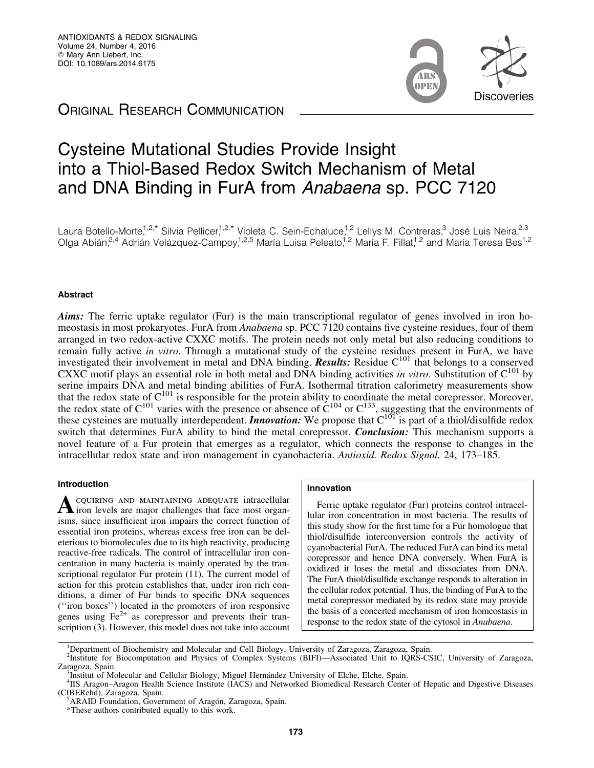m **Discoveries** 

# **ORIGINAL RESEARCH COMMUNICATION**

# Cysteine Mutational Studies Provide Insight into a Thiol-Based Redox Switch Mechanism of Metal and DNA Binding in FurA from Anabaena sp. PCC 7120

Laura Botello-Morte,<sup>1,2,\*</sup> Silvia Pellicer,<sup>1,2,\*</sup> Violeta C. Sein-Echaluce,<sup>1,2</sup> Lellys M. Contreras,<sup>3</sup> José Luis Neira,<sup>2,3</sup> Olga Abián,<sup>2,4</sup> Adrián Velázquez-Campoy,<sup>1,2,5</sup> María Luisa Peleato,<sup>1,2</sup> María F. Fillat,<sup>1,2</sup> and María Teresa Bes<sup>1,2</sup>

## Abstract

Aims: The ferric uptake regulator (Fur) is the main transcriptional regulator of genes involved in iron homeostasis in most prokaryotes. FurA from *Anabaena* sp. PCC 7120 contains five cysteine residues, four of them arranged in two redox-active CXXC motifs. The protein needs not only metal but also reducing conditions to remain fully active *in vitro*. Through a mutational study of the cysteine residues present in FurA, we have investigated their involvement in metal and DNA binding. **Results:** Residue  $C^{101}$  that belongs to a conserved CXXC motif plays an essential role in both metal and DNA binding activities *in vitro*. Substitution of  $C^{101}$  by serine impairs DNA and metal binding abilities of FurA. Isothermal titration calorimetry measurements show that the redox state of  $C^{101}$  is responsible for the protein ability to coordinate the metal corepressor. Moreover, the redox state of  $C^{101}$  varies with the presence or absence of  $C^{104}$  or  $C^{133}$ , suggesting that the environments of these cysteines are mutually interdependent. **Innovation:** We propose that  $C^{101}$  is part of a thiol/disulfide redox switch that determines FurA ability to bind the metal corepressor. *Conclusion:* This mechanism supports a novel feature of a Fur protein that emerges as a regulator, which connects the response to changes in the intracellular redox state and iron management in cyanobacteria. *Antioxid. Redox Signal.* 24, 173–185.

## Introduction

A COUIRING AND MAINTAINING ADEQUATE intracellular<br>iron levels are major challenges that face most organisms, since insufficient iron impairs the correct function of essential iron proteins, whereas excess free iron can be deleterious to biomolecules due to its high reactivity, producing reactive-free radicals. The control of intracellular iron concentration in many bacteria is mainly operated by the transcriptional regulator Fur protein (11). The current model of action for this protein establishes that, under iron rich conditions, a dimer of Fur binds to specific DNA sequences (''iron boxes'') located in the promoters of iron responsive genes using  $Fe<sup>2+</sup>$  as corepressor and prevents their transcription (3). However, this model does not take into account

## Innovation

Ferric uptake regulator (Fur) proteins control intracellular iron concentration in most bacteria. The results of this study show for the first time for a Fur homologue that thiol/disulfide interconversion controls the activity of cyanobacterial FurA. The reduced FurA can bind its metal corepressor and hence DNA conversely. When FurA is oxidized it loses the metal and dissociates from DNA. The FurA thiol/disulfide exchange responds to alteration in the cellular redox potential. Thus, the binding of FurA to the metal corepressor mediated by its redox state may provide the basis of a concerted mechanism of iron homeostasis in response to the redox state of the cytosol in *Anabaena*.

<sup>&</sup>lt;sup>1</sup>Department of Biochemistry and Molecular and Cell Biology, University of Zaragoza, Zaragoza, Spain.

<sup>&</sup>lt;sup>2</sup>Institute for Biocomputation and Physics of Complex Systems (BIFI)—Associated Unit to IQRS-CSIC, University of Zaragoza, Zaragoza, Spain.

Institut of Molecular and Cellular Biology, Miguel Hernández University of Elche, Elche, Spain.

<sup>&</sup>lt;sup>4</sup>IIS Aragon–Aragon Health Science Institute (IACS) and Networked Biomedical Research Center of Hepatic and Digestive Diseases (CIBERehd), Zaragoza, Spain.

ARAID Foundation, Government of Aragón, Zaragoza, Spain.

<sup>\*</sup>These authors contributed equally to this work.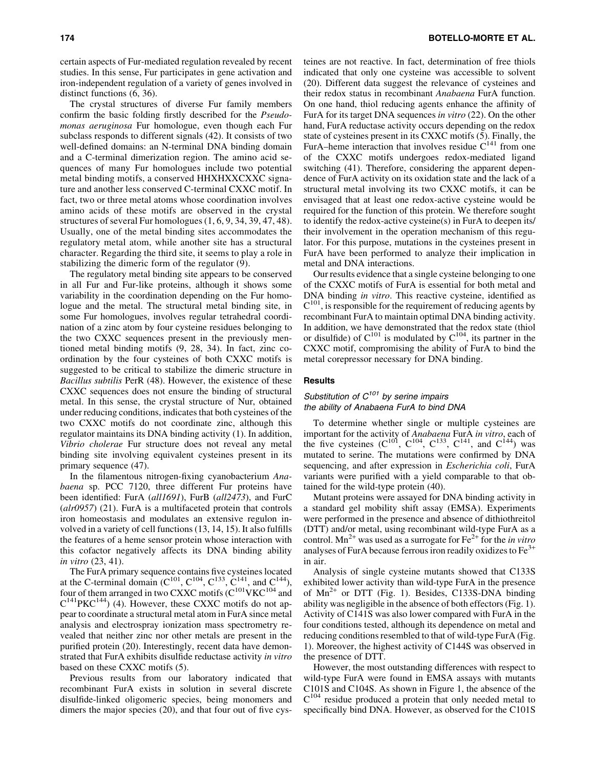certain aspects of Fur-mediated regulation revealed by recent studies. In this sense, Fur participates in gene activation and iron-independent regulation of a variety of genes involved in distinct functions (6, 36).

The crystal structures of diverse Fur family members confirm the basic folding firstly described for the *Pseudomonas aeruginosa* Fur homologue, even though each Fur subclass responds to different signals (42). It consists of two well-defined domains: an N-terminal DNA binding domain and a C-terminal dimerization region. The amino acid sequences of many Fur homologues include two potential metal binding motifs, a conserved HHXHXXCXXC signature and another less conserved C-terminal CXXC motif. In fact, two or three metal atoms whose coordination involves amino acids of these motifs are observed in the crystal structures of several Fur homologues (1, 6, 9, 34, 39, 47, 48). Usually, one of the metal binding sites accommodates the regulatory metal atom, while another site has a structural character. Regarding the third site, it seems to play a role in stabilizing the dimeric form of the regulator (9).

The regulatory metal binding site appears to be conserved in all Fur and Fur-like proteins, although it shows some variability in the coordination depending on the Fur homologue and the metal. The structural metal binding site, in some Fur homologues, involves regular tetrahedral coordination of a zinc atom by four cysteine residues belonging to the two CXXC sequences present in the previously mentioned metal binding motifs (9, 28, 34). In fact, zinc coordination by the four cysteines of both CXXC motifs is suggested to be critical to stabilize the dimeric structure in *Bacillus subtilis* PerR (48). However, the existence of these CXXC sequences does not ensure the binding of structural metal. In this sense, the crystal structure of Nur, obtained under reducing conditions, indicates that both cysteines of the two CXXC motifs do not coordinate zinc, although this regulator maintains its DNA binding activity (1). In addition, *Vibrio cholerae* Fur structure does not reveal any metal binding site involving equivalent cysteines present in its primary sequence (47).

In the filamentous nitrogen-fixing cyanobacterium *Anabaena* sp. PCC 7120, three different Fur proteins have been identified: FurA (*all1691*), FurB (*all2473*), and FurC (*alr0957*) (21). FurA is a multifaceted protein that controls iron homeostasis and modulates an extensive regulon involved in a variety of cell functions (13, 14, 15). It also fulfills the features of a heme sensor protein whose interaction with this cofactor negatively affects its DNA binding ability *in vitro* (23, 41).

The FurA primary sequence contains five cysteines located at the C-terminal domain ( $C^{101}$ ,  $C^{104}$ ,  $C^{133}$ ,  $C^{141}$ , and  $C^{144}$ ), four of them arranged in two CXXC motifs ( $C^{101}$ VKC<sup>104</sup> and  $C^{141}$ PKC<sup>144</sup>) (4). However, these CXXC motifs do not appear to coordinate a structural metal atom in FurA since metal analysis and electrospray ionization mass spectrometry revealed that neither zinc nor other metals are present in the purified protein (20). Interestingly, recent data have demonstrated that FurA exhibits disulfide reductase activity *in vitro* based on these CXXC motifs (5).

Previous results from our laboratory indicated that recombinant FurA exists in solution in several discrete disulfide-linked oligomeric species, being monomers and dimers the major species (20), and that four out of five cysteines are not reactive. In fact, determination of free thiols indicated that only one cysteine was accessible to solvent (20). Different data suggest the relevance of cysteines and their redox status in recombinant *Anabaena* FurA function. On one hand, thiol reducing agents enhance the affinity of FurA for its target DNA sequences *in vitro* (22). On the other hand, FurA reductase activity occurs depending on the redox state of cysteines present in its CXXC motifs (5). Finally, the FurA–heme interaction that involves residue  $C^{141}$  from one of the CXXC motifs undergoes redox-mediated ligand switching (41). Therefore, considering the apparent dependence of FurA activity on its oxidation state and the lack of a structural metal involving its two CXXC motifs, it can be envisaged that at least one redox-active cysteine would be required for the function of this protein. We therefore sought to identify the redox-active cysteine(s) in FurA to deepen its/ their involvement in the operation mechanism of this regulator. For this purpose, mutations in the cysteines present in FurA have been performed to analyze their implication in metal and DNA interactions.

Our results evidence that a single cysteine belonging to one of the CXXC motifs of FurA is essential for both metal and DNA binding *in vitro*. This reactive cysteine, identified as  $C^{101}$ , is responsible for the requirement of reducing agents by recombinant FurA to maintain optimal DNA binding activity. In addition, we have demonstrated that the redox state (thiol or disulfide) of  $C^{101}$  is modulated by  $C^{104}$ , its partner in the CXXC motif, compromising the ability of FurA to bind the metal corepressor necessary for DNA binding.

#### Results

## Substitution of  $C^{101}$  by serine impairs the ability of Anabaena FurA to bind DNA

To determine whether single or multiple cysteines are important for the activity of *Anabaena* FurA *in vitro*, each of the five cysteines  $(C^{101}, C^{104}, C^{133}, C^{141},$  and  $C^{144}$ ) was mutated to serine. The mutations were confirmed by DNA sequencing, and after expression in *Escherichia coli*, FurA variants were purified with a yield comparable to that obtained for the wild-type protein (40).

Mutant proteins were assayed for DNA binding activity in a standard gel mobility shift assay (EMSA). Experiments were performed in the presence and absence of dithiothreitol (DTT) and/or metal, using recombinant wild-type FurA as a control. Mn<sup>2+</sup> was used as a surrogate for  $Fe^{2+}$  for the *in vitro* analyses of FurA because ferrous iron readily oxidizes to  $Fe<sup>3+</sup>$ in air.

Analysis of single cysteine mutants showed that C133S exhibited lower activity than wild-type FurA in the presence of  $Mn^{2+}$  or DTT (Fig. 1). Besides, C133S-DNA binding ability was negligible in the absence of both effectors (Fig. 1). Activity of C141S was also lower compared with FurA in the four conditions tested, although its dependence on metal and reducing conditions resembled to that of wild-type FurA (Fig. 1). Moreover, the highest activity of C144S was observed in the presence of DTT.

However, the most outstanding differences with respect to wild-type FurA were found in EMSA assays with mutants C101S and C104S. As shown in Figure 1, the absence of the  $C^{104}$  residue produced a protein that only needed metal to specifically bind DNA. However, as observed for the C101S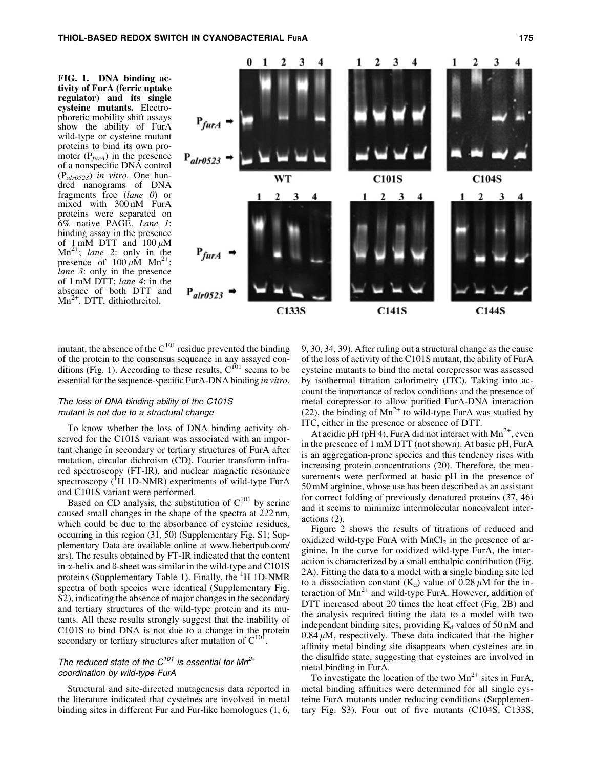FIG. 1. DNA binding activity of FurA (ferric uptake regulator) and its single cysteine mutants. Electrophoretic mobility shift assays show the ability of FurA wild-type or cysteine mutant proteins to bind its own promoter  $(P_{\text{furA}})$  in the presence of a nonspecific DNA control (P*alr0523*) *in vitro.* One hundred nanograms of DNA fragments free (*lane 0*) or mixed with 300 nM FurA proteins were separated on 6% native PAGE. *Lane 1*: binding assay in the presence of 1 mM DTT and  $100 \mu M$  $Mn^{2+}$ ; *lane* 2: only in the presence of  $100 \mu M$  Mn<sup>2+</sup>; *lane 3*: only in the presence of 1 mM DTT; *lane 4*: in the absence of both DTT and  $Mn^{2+}$ . DTT, dithiothreitol.



mutant, the absence of the  $C^{101}$  residue prevented the binding of the protein to the consensus sequence in any assayed conditions (Fig. 1). According to these results,  $C^{101}$  seems to be essential for the sequence-specific FurA-DNA binding *in vitro*.

## The loss of DNA binding ability of the C101S mutant is not due to a structural change

To know whether the loss of DNA binding activity observed for the C101S variant was associated with an important change in secondary or tertiary structures of FurA after mutation, circular dichroism (CD), Fourier transform infrared spectroscopy (FT-IR), and nuclear magnetic resonance spectroscopy  $({}^{1}H$  1D-NMR) experiments of wild-type FurA and C101S variant were performed.

Based on CD analysis, the substitution of  $C^{101}$  by serine caused small changes in the shape of the spectra at 222 nm, which could be due to the absorbance of cysteine residues, occurring in this region (31, 50) (Supplementary Fig. S1; Supplementary Data are available online at www.liebertpub.com/ ars). The results obtained by FT-IR indicated that the content in  $\alpha$ -helix and  $\beta$ -sheet was similar in the wild-type and C101S proteins (Supplementary Table 1). Finally, the <sup>1</sup>H 1D-NMR spectra of both species were identical (Supplementary Fig. S2), indicating the absence of major changes in the secondary and tertiary structures of the wild-type protein and its mutants. All these results strongly suggest that the inability of C101S to bind DNA is not due to a change in the protein secondary or tertiary structures after mutation of  $C^{101}$ .

## The reduced state of the  $C^{101}$  is essential for Mn<sup>2+</sup> coordination by wild-type FurA

Structural and site-directed mutagenesis data reported in the literature indicated that cysteines are involved in metal binding sites in different Fur and Fur-like homologues (1, 6, 9, 30, 34, 39). After ruling out a structural change as the cause of the loss of activity of the C101S mutant, the ability of FurA cysteine mutants to bind the metal corepressor was assessed by isothermal titration calorimetry (ITC). Taking into account the importance of redox conditions and the presence of metal corepressor to allow purified FurA-DNA interaction (22), the binding of  $Mn^{2+}$  to wild-type FurA was studied by ITC, either in the presence or absence of DTT.

At acidic pH (pH 4), FurA did not interact with  $Mn^{2+}$ , even in the presence of 1 mM DTT (not shown). At basic pH, FurA is an aggregation-prone species and this tendency rises with increasing protein concentrations (20). Therefore, the measurements were performed at basic pH in the presence of 50 mM arginine, whose use has been described as an assistant for correct folding of previously denatured proteins (37, 46) and it seems to minimize intermolecular noncovalent interactions (2).

Figure 2 shows the results of titrations of reduced and oxidized wild-type FurA with  $MnCl<sub>2</sub>$  in the presence of arginine. In the curve for oxidized wild-type FurA, the interaction is characterized by a small enthalpic contribution (Fig. 2A). Fitting the data to a model with a single binding site led to a dissociation constant  $(K_d)$  value of 0.28  $\mu$ M for the interaction of  $Mn^{2+}$  and wild-type FurA. However, addition of DTT increased about 20 times the heat effect (Fig. 2B) and the analysis required fitting the data to a model with two independent binding sites, providing  $K_d$  values of 50 nM and  $0.84 \mu M$ , respectively. These data indicated that the higher affinity metal binding site disappears when cysteines are in the disulfide state, suggesting that cysteines are involved in metal binding in FurA.

To investigate the location of the two  $Mn^{2+}$  sites in FurA, metal binding affinities were determined for all single cysteine FurA mutants under reducing conditions (Supplementary Fig. S3). Four out of five mutants (C104S, C133S,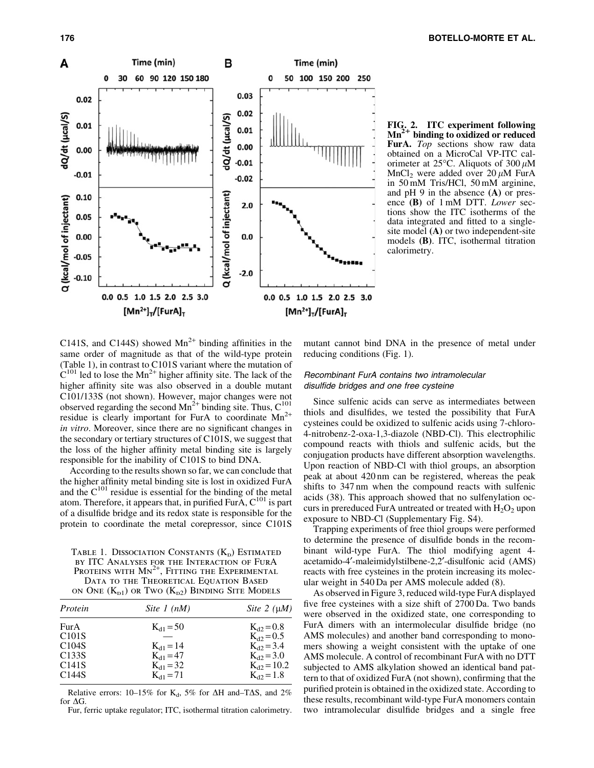

FIG. 2. ITC experiment following  $Mn^{2+}$  binding to oxidized or reduced FurA. *Top* sections show raw data obtained on a MicroCal VP-ITC calorimeter at 25 $\degree$ C. Aliquots of 300  $\mu$ M MnCl<sub>2</sub> were added over 20  $\mu$ M FurA in 50 mM Tris/HCl, 50 mM arginine, and pH 9 in the absence (A) or presence (B) of 1 mM DTT. *Lower* sections show the ITC isotherms of the data integrated and fitted to a singlesite model (A) or two independent-site models (B). ITC, isothermal titration calorimetry.

C141S, and C144S) showed  $Mn^{2+}$  binding affinities in the same order of magnitude as that of the wild-type protein (Table 1), in contrast to C101S variant where the mutation of  $C^{101}$  led to lose the Mn<sup>2+</sup> higher affinity site. The lack of the higher affinity site was also observed in a double mutant C101/133S (not shown). However, major changes were not observed regarding the second  $Mn^{2+}$  binding site. Thus,  $C^{101}$ residue is clearly important for FurA to coordinate  $Mn^{2+}$ *in vitro*. Moreover, since there are no significant changes in the secondary or tertiary structures of C101S, we suggest that the loss of the higher affinity metal binding site is largely responsible for the inability of C101S to bind DNA.

According to the results shown so far, we can conclude that the higher affinity metal binding site is lost in oxidized FurA and the  $C^{101}$  residue is essential for the binding of the metal atom. Therefore, it appears that, in purified FurA,  $C^{101}$  is part of a disulfide bridge and its redox state is responsible for the protein to coordinate the metal corepressor, since C101S

TABLE 1. DISSOCIATION CONSTANTS  $(K_n)$  ESTIMATED by ITC Analyses for the Interaction of FurA PROTEINS WITH MN<sup>2+</sup>, FITTING THE EXPERIMENTAL DATA TO THE THEORETICAL EQUATION BASED on One  $(K_{p1})$  or Two  $(K_{p2})$  Binding Site Models

| Site 2 $(\mu M)$ |
|------------------|
| $K_{d2} = 0.8$   |
| $K_{d2} = 0.5$   |
| $K_{d2} = 3.4$   |
| $K_{d2} = 3.0$   |
| $K_{d2} = 10.2$  |
| $K_{d2} = 1.8$   |
|                  |

Relative errors: 10–15% for K<sub>d</sub>, 5% for  $\Delta H$  and–T $\Delta S$ , and 2% for  $\Delta G$ .

Fur, ferric uptake regulator; ITC, isothermal titration calorimetry.

mutant cannot bind DNA in the presence of metal under reducing conditions (Fig. 1).

## Recombinant FurA contains two intramolecular disulfide bridges and one free cysteine

Since sulfenic acids can serve as intermediates between thiols and disulfides, we tested the possibility that FurA cysteines could be oxidized to sulfenic acids using 7-chloro-4-nitrobenz-2-oxa-1,3-diazole (NBD-Cl). This electrophilic compound reacts with thiols and sulfenic acids, but the conjugation products have different absorption wavelengths. Upon reaction of NBD-Cl with thiol groups, an absorption peak at about 420 nm can be registered, whereas the peak shifts to 347 nm when the compound reacts with sulfenic acids (38). This approach showed that no sulfenylation occurs in prereduced FurA untreated or treated with  $H_2O_2$  upon exposure to NBD-Cl (Supplementary Fig. S4).

Trapping experiments of free thiol groups were performed to determine the presence of disulfide bonds in the recombinant wild-type FurA. The thiol modifying agent 4 acetamido-4¢-maleimidylstilbene-2,2¢-disulfonic acid (AMS) reacts with free cysteines in the protein increasing its molecular weight in 540 Da per AMS molecule added (8).

As observed in Figure 3, reduced wild-type FurA displayed five free cysteines with a size shift of 2700 Da. Two bands were observed in the oxidized state, one corresponding to FurA dimers with an intermolecular disulfide bridge (no AMS molecules) and another band corresponding to monomers showing a weight consistent with the uptake of one AMS molecule. A control of recombinant FurA with no DTT subjected to AMS alkylation showed an identical band pattern to that of oxidized FurA (not shown), confirming that the purified protein is obtained in the oxidized state. According to these results, recombinant wild-type FurA monomers contain two intramolecular disulfide bridges and a single free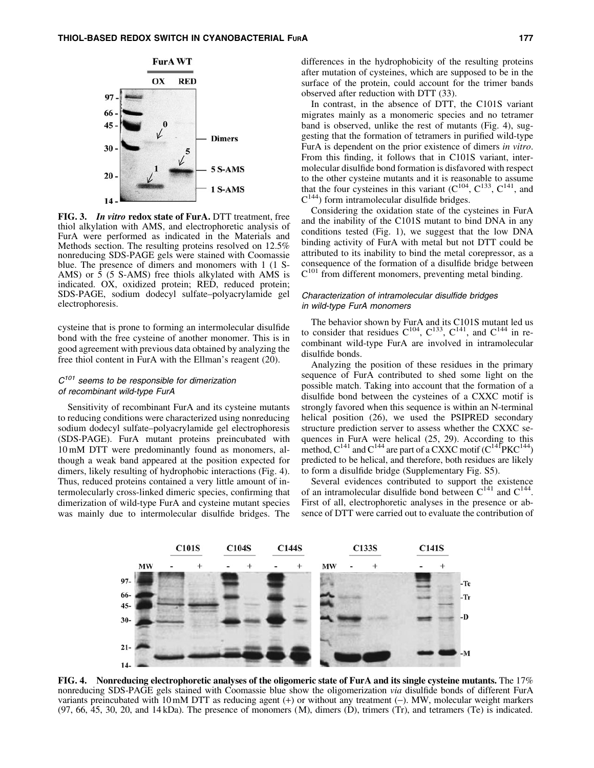

FIG. 3. In vitro redox state of FurA. DTT treatment, free thiol alkylation with AMS, and electrophoretic analysis of FurA were performed as indicated in the Materials and Methods section. The resulting proteins resolved on 12.5% nonreducing SDS-PAGE gels were stained with Coomassie blue. The presence of dimers and monomers with 1 (1 S-AMS) or  $\bar{5}$  (5 S-AMS) free thiols alkylated with AMS is indicated. OX, oxidized protein; RED, reduced protein; SDS-PAGE, sodium dodecyl sulfate–polyacrylamide gel electrophoresis.

cysteine that is prone to forming an intermolecular disulfide bond with the free cysteine of another monomer. This is in good agreement with previous data obtained by analyzing the free thiol content in FurA with the Ellman's reagent (20).

## $C^{101}$  seems to be responsible for dimerization of recombinant wild-type FurA

Sensitivity of recombinant FurA and its cysteine mutants to reducing conditions were characterized using nonreducing sodium dodecyl sulfate–polyacrylamide gel electrophoresis (SDS-PAGE). FurA mutant proteins preincubated with 10 mM DTT were predominantly found as monomers, although a weak band appeared at the position expected for dimers, likely resulting of hydrophobic interactions (Fig. 4). Thus, reduced proteins contained a very little amount of intermolecularly cross-linked dimeric species, confirming that dimerization of wild-type FurA and cysteine mutant species was mainly due to intermolecular disulfide bridges. The differences in the hydrophobicity of the resulting proteins after mutation of cysteines, which are supposed to be in the surface of the protein, could account for the trimer bands observed after reduction with DTT (33).

In contrast, in the absence of DTT, the C101S variant migrates mainly as a monomeric species and no tetramer band is observed, unlike the rest of mutants (Fig. 4), suggesting that the formation of tetramers in purified wild-type FurA is dependent on the prior existence of dimers *in vitro*. From this finding, it follows that in C101S variant, intermolecular disulfide bond formation is disfavored with respect to the other cysteine mutants and it is reasonable to assume that the four cysteines in this variant  $(C^{104}, C^{133}, C^{141}, )$  and  $C^{144}$ ) form intramolecular disulfide bridges.

Considering the oxidation state of the cysteines in FurA and the inability of the C101S mutant to bind DNA in any conditions tested (Fig. 1), we suggest that the low DNA binding activity of FurA with metal but not DTT could be attributed to its inability to bind the metal corepressor, as a consequence of the formation of a disulfide bridge between  $C^{101}$  from different monomers, preventing metal binding.

## Characterization of intramolecular disulfide bridges in wild-type FurA monomers

The behavior shown by FurA and its C101S mutant led us to consider that residues  $C^{104}$ ,  $C^{133}$ ,  $C^{141}$ , and  $C^{144}$  in recombinant wild-type FurA are involved in intramolecular disulfide bonds.

Analyzing the position of these residues in the primary sequence of FurA contributed to shed some light on the possible match. Taking into account that the formation of a disulfide bond between the cysteines of a CXXC motif is strongly favored when this sequence is within an N-terminal helical position (26), we used the PSIPRED secondary structure prediction server to assess whether the CXXC sequences in FurA were helical (25, 29). According to this method,  $C^{141}$  and  $C^{144}$  are part of a CXXC motif  $(C^{141}PKC^{144})$ predicted to be helical, and therefore, both residues are likely to form a disulfide bridge (Supplementary Fig. S5).

Several evidences contributed to support the existence of an intramolecular disulfide bond between  $C^{141}$  and  $C^{144}$ . First of all, electrophoretic analyses in the presence or absence of DTT were carried out to evaluate the contribution of



FIG. 4. Nonreducing electrophoretic analyses of the oligomeric state of FurA and its single cysteine mutants. The 17% nonreducing SDS-PAGE gels stained with Coomassie blue show the oligomerization *via* disulfide bonds of different FurA variants preincubated with 10 mM DTT as reducing agent  $(+)$  or without any treatment  $(-)$ . MW, molecular weight markers  $(97, 66, 45, 30, 20,$  and  $14 kDa$ ). The presence of monomers  $(M)$ , dimers  $(D)$ , trimers  $(Tr)$ , and tetramers  $(Te)$  is indicated.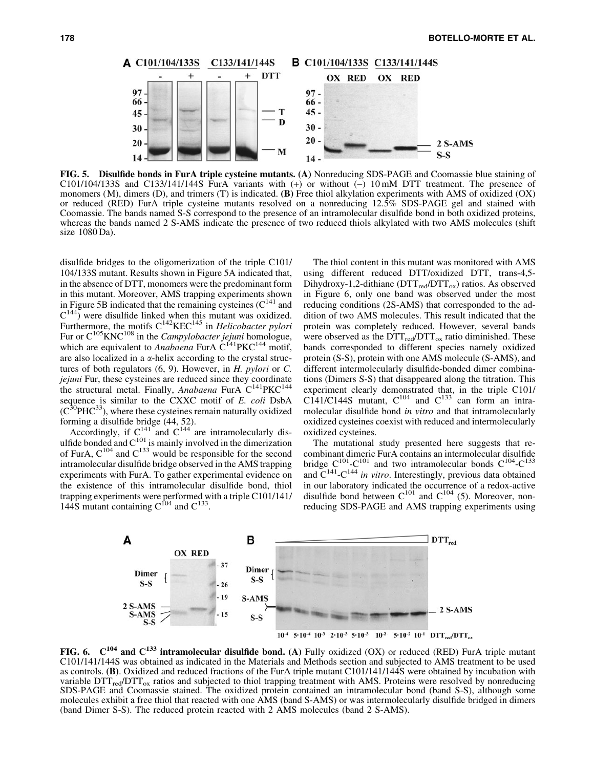

FIG. 5. Disulfide bonds in FurA triple cysteine mutants. (A) Nonreducing SDS-PAGE and Coomassie blue staining of C101/104/133S and C133/141/144S FurA variants with  $(+)$  or without  $(-)$  10 mM DTT treatment. The presence of monomers  $(M)$ , dimers  $(D)$ , and trimers  $(T)$  is indicated.  $(B)$  Free thiol alkylation experiments with AMS of oxidized  $(OX)$ or reduced (RED) FurA triple cysteine mutants resolved on a nonreducing 12.5% SDS-PAGE gel and stained with Coomassie. The bands named S-S correspond to the presence of an intramolecular disulfide bond in both oxidized proteins, whereas the bands named 2 S-AMS indicate the presence of two reduced thiols alkylated with two AMS molecules (shift size 1080 Da).

disulfide bridges to the oligomerization of the triple C101/ 104/133S mutant. Results shown in Figure 5A indicated that, in the absence of DTT, monomers were the predominant form in this mutant. Moreover, AMS trapping experiments shown in Figure 5B indicated that the remaining cysteines  $(C^{141})$  and  $C^{144}$ ) were disulfide linked when this mutant was oxidized. Furthermore, the motifs C<sup>142</sup>KEC<sup>145</sup> in *Helicobacter pylori* Fur or C105KNC108 in the *Campylobacter jejuni* homologue, which are equivalent to *Anabaena* FurA  $C^{141}$ PKC<sup>144</sup> motif, are also localized in a  $\alpha$ -helix according to the crystal structures of both regulators (6, 9). However, in *H. pylori* or *C. jejuni* Fur, these cysteines are reduced since they coordinate the structural metal. Finally, *Anabaena* FurA C<sup>141</sup>PKC<sup>144</sup> sequence is similar to the CXXC motif of *E. coli* DsbA  $(C^{30}PHC^{33})$ , where these cysteines remain naturally oxidized forming a disulfide bridge (44, 52).

Accordingly, if  $C^{141}$  and  $C^{144}$  are intramolecularly disulfide bonded and  $C^{101}$  is mainly involved in the dimerization of FurA,  $C^{104}$  and  $C^{133}$  would be responsible for the second intramolecular disulfide bridge observed in the AMS trapping experiments with FurA. To gather experimental evidence on the existence of this intramolecular disulfide bond, thiol trapping experiments were performed with a triple C101/141/ 144S mutant containing  $C^{104}$  and  $C^{133}$ .

The thiol content in this mutant was monitored with AMS using different reduced DTT/oxidized DTT, trans-4,5- Dihydroxy-1,2-dithiane ( $DTT_{red}/DTT_{ox}$ ) ratios. As observed in Figure 6, only one band was observed under the most reducing conditions (2S-AMS) that corresponded to the addition of two AMS molecules. This result indicated that the protein was completely reduced. However, several bands were observed as the  $DTT_{red}/DTT_{ox}$  ratio diminished. These bands corresponded to different species namely oxidized protein (S-S), protein with one AMS molecule (S-AMS), and different intermolecularly disulfide-bonded dimer combinations (Dimers S-S) that disappeared along the titration. This experiment clearly demonstrated that, in the triple C101/  $C141/C144S$  mutant,  $C^{104}$  and  $C^{133}$  can form an intramolecular disulfide bond *in vitro* and that intramolecularly oxidized cysteines coexist with reduced and intermolecularly oxidized cysteines.

The mutational study presented here suggests that recombinant dimeric FurA contains an intermolecular disulfide bridge  $C^{101}$ -C<sup>101</sup> and two intramolecular bonds  $C^{104}$ -C<sup>133</sup> and  $C^{141}$ - $C^{144}$  *in vitro*. Interestingly, previous data obtained in our laboratory indicated the occurrence of a redox-active disulfide bond between  $C^{101}$  and  $C^{104}$  (5). Moreover, nonreducing SDS-PAGE and AMS trapping experiments using



FIG. 6.  $C^{104}$  and  $C^{133}$  intramolecular disulfide bond. (A) Fully oxidized (OX) or reduced (RED) FurA triple mutant C101/141/144S was obtained as indicated in the Materials and Methods section and subjected to AMS treatment to be used as controls. (B). Oxidized and reduced fractions of the FurA triple mutant C101/141/144S were obtained by incubation with variable  $DTT_{\text{red}}/DTT_{\text{ox}}$  ratios and subjected to thiol trapping treatment with AMS. Proteins were resolved by nonreducing SDS-PAGE and Coomassie stained. The oxidized protein contained an intramolecular bond (band S-S), although some molecules exhibit a free thiol that reacted with one AMS (band S-AMS) or was intermolecularly disulfide bridged in dimers (band Dimer S-S). The reduced protein reacted with 2 AMS molecules (band 2 S-AMS).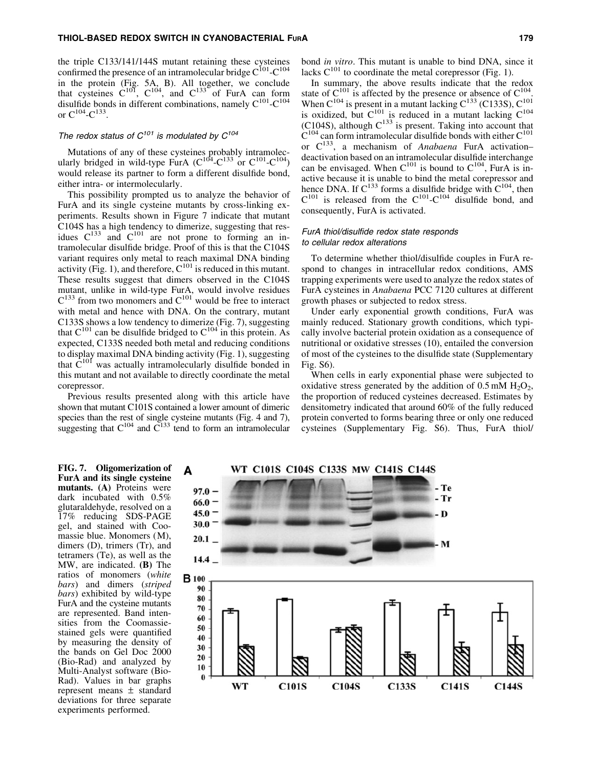the triple C133/141/144S mutant retaining these cysteines confirmed the presence of an intramolecular bridge  $C^{101}$ - $C^{104}$ in the protein (Fig. 5A, B). All together, we conclude that cysteines  $C^{101}$ ,  $C^{104}$ , and  $C^{133}$  of FurA can form disulfide bonds in different combinations, namely  $C^{101}$ - $C^{104}$ or  $C^{104}$ - $C^{133}$ .

## The redox status of  $C^{101}$  is modulated by  $C^{104}$

Mutations of any of these cysteines probably intramolecularly bridged in wild-type FurA  $(C^{104} - C^{133})$  or  $C^{101} - C^{104})$ would release its partner to form a different disulfide bond, either intra- or intermolecularly.

This possibility prompted us to analyze the behavior of FurA and its single cysteine mutants by cross-linking experiments. Results shown in Figure 7 indicate that mutant C104S has a high tendency to dimerize, suggesting that residues  $C^{133}$  and  $C^{101}$  are not prone to forming an intramolecular disulfide bridge. Proof of this is that the C104S variant requires only metal to reach maximal DNA binding activity (Fig. 1), and therefore,  $C^{101}$  is reduced in this mutant. These results suggest that dimers observed in the C104S mutant, unlike in wild-type FurA, would involve residues  $C^{133}$  from two monomers and  $C^{101}$  would be free to interact with metal and hence with DNA. On the contrary, mutant C133S shows a low tendency to dimerize (Fig. 7), suggesting that  $C^{101}$  can be disulfide bridged to  $C^{104}$  in this protein. As expected, C133S needed both metal and reducing conditions to display maximal DNA binding activity (Fig. 1), suggesting that  $\tilde{C}^{101}$  was actually intramolecularly disulfide bonded in this mutant and not available to directly coordinate the metal corepressor.

Previous results presented along with this article have shown that mutant C101S contained a lower amount of dimeric species than the rest of single cysteine mutants (Fig. 4 and 7), suggesting that  $C^{104}$  and  $C^{133}$  tend to form an intramolecular

bond *in vitro*. This mutant is unable to bind DNA, since it lacks  $C^{101}$  to coordinate the metal corepressor (Fig. 1).

In summary, the above results indicate that the redox state of  $C^{101}$  is affected by the presence or absence of  $C^{104}$ . When  $C^{104}$  is present in a mutant lacking  $C^{133}$  (C133S),  $C^{101}$ is oxidized, but  $C^{101}$  is reduced in a mutant lacking  $C^{104}$ (C104S), although  $C^{133}$  is present. Taking into account that  $C^{104}$  can form intramolecular disulfide bonds with either  $C^{101}$ or C133, a mechanism of *Anabaena* FurA activation– deactivation based on an intramolecular disulfide interchange can be envisaged. When  $C^{101}$  is bound to  $C^{104}$ , FurA is inactive because it is unable to bind the metal corepressor and hence DNA. If  $C^{133}$  forms a disulfide bridge with  $C^{104}$ , then  $C^{101}$  is released from the  $C^{101}$ - $C^{104}$  disulfide bond, and consequently, FurA is activated.

## FurA thiol/disulfide redox state responds to cellular redox alterations

To determine whether thiol/disulfide couples in FurA respond to changes in intracellular redox conditions, AMS trapping experiments were used to analyze the redox states of FurA cysteines in *Anabaena* PCC 7120 cultures at different growth phases or subjected to redox stress.

Under early exponential growth conditions, FurA was mainly reduced. Stationary growth conditions, which typically involve bacterial protein oxidation as a consequence of nutritional or oxidative stresses (10), entailed the conversion of most of the cysteines to the disulfide state (Supplementary Fig. S6).

When cells in early exponential phase were subjected to oxidative stress generated by the addition of  $0.5 \text{ mM H}_2\text{O}_2$ , the proportion of reduced cysteines decreased. Estimates by densitometry indicated that around 60% of the fully reduced protein converted to forms bearing three or only one reduced cysteines (Supplementary Fig. S6). Thus, FurA thiol/

FIG. 7. Oligomerization of FurA and its single cysteine mutants. (A) Proteins were dark incubated with 0.5% glutaraldehyde, resolved on a 17% reducing SDS-PAGE gel, and stained with Coomassie blue. Monomers (M), dimers (D), trimers (Tr), and tetramers (Te), as well as the MW, are indicated. (B) The ratios of monomers (*white bars*) and dimers (*striped bars*) exhibited by wild-type FurA and the cysteine mutants are represented. Band intensities from the Coomassiestained gels were quantified by measuring the density of the bands on Gel Doc 2000 (Bio-Rad) and analyzed by Multi-Analyst software (Bio-Rad). Values in bar graphs represent means  $\pm$  standard deviations for three separate experiments performed.

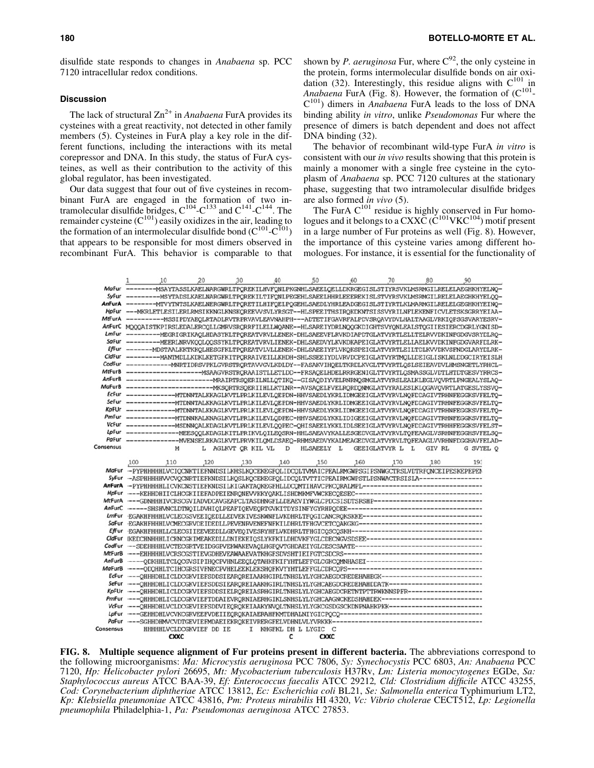## **Discussion**

The lack of structural  $Zn^{2+}$  in *Anabaena* FurA provides its cysteines with a great reactivity, not detected in other family members (5). Cysteines in FurA play a key role in the different functions, including the interactions with its metal corepressor and DNA. In this study, the status of FurA cysteines, as well as their contribution to the activity of this global regulator, has been investigated.

Our data suggest that four out of five cysteines in recombinant FurA are engaged in the formation of two intramolecular disulfide bridges,  $C^{104}$ - $C^{133}$  and  $C^{141}$ - $C^{144}$ . The remainder cysteine  $(C^{101})$  easily oxidizes in the air, leading to the formation of an intermolecular disulfide bond  $(C^{101}-C^{101})$ that appears to be responsible for most dimers observed in recombinant FurA. This behavior is comparable to that shown by *P. aeruginosa* Fur, where  $C^{92}$ , the only cysteine in the protein, forms intermolecular disulfide bonds on air oxidation (32). Interestingly, this residue aligns with  $C^{101}$  in *Anabaena* FurA (Fig. 8). However, the formation of (C<sup>101</sup>-C101) dimers in *Anabaena* FurA leads to the loss of DNA binding ability *in vitro*, unlike *Pseudomonas* Fur where the presence of dimers is batch dependent and does not affect DNA binding (32).

The behavior of recombinant wild-type FurA *in vitro* is consistent with our *in vivo* results showing that this protein is mainly a monomer with a single free cysteine in the cytoplasm of *Anabaena* sp. PCC 7120 cultures at the stationary phase, suggesting that two intramolecular disulfide bridges are also formed *in vivo* (5).

The FurA  $C^{101}$  residue is highly conserved in Fur homologues and it belongs to a CXXC ( $\check{C}^{101}$ VKC $^{104}$ ) motif present in a large number of Fur proteins as well (Fig. 8). However, the importance of this cysteine varies among different homologues. For instance, it is essential for the functionality of

|           | 1                                                                                                    | 10          | 20                      | 30                 | 40  | 50                    | 60  | 70                                                                                                     | 80     | 90                                                                                                            |
|-----------|------------------------------------------------------------------------------------------------------|-------------|-------------------------|--------------------|-----|-----------------------|-----|--------------------------------------------------------------------------------------------------------|--------|---------------------------------------------------------------------------------------------------------------|
|           |                                                                                                      |             |                         |                    |     |                       |     |                                                                                                        |        | MaFur --------MSAYTASSLKAELNARGWRLTPQREKILHVFQNLPKGNHLSAEELQELLDKRGEGISLSTIYRSVKLMSRMGILRELELAEGHKHYELNQ-     |
|           |                                                                                                      |             |                         |                    |     |                       |     |                                                                                                        |        |                                                                                                               |
|           |                                                                                                      |             |                         |                    |     |                       |     |                                                                                                        |        | AnFurA -------- MTVYTNTSLKAELNERGWRLTPQRETILHIFQELPQGEHLSAEDLYHRLEADGEGISLSTIYRTLKLMARMGILRELELGEGHKHYEINQ-   |
|           |                                                                                                      |             |                         |                    |     |                       |     |                                                                                                        |        | HpFur ---MKRLETLESILERLRMSIKKNGLKNSKQREEVVSVLYRSGT--HLSPEEITHSIRQKDKNTSISSVYRILNFLEKENFICVLETSKSGRRYEIAA-     |
|           |                                                                                                      |             |                         |                    |     |                       |     |                                                                                                        |        | MtFurA -----------MSSIPDYAEOLRTADLRVTRPRVAVLEAVNAHPH---ADTETIFGAVRFALPDVSRQAVYDVLHALTAAGLVRKIQPSGSVARYESRV-   |
|           |                                                                                                      |             |                         |                    |     |                       |     |                                                                                                        |        | AnFurC MOOOAISTKPIRSLEDALERCOLLGMRVSRORRFILELLWQANE--HLSAREIYDRLNOOGKDIGHTSVYQNLEALSTOGIIESIERCDGRLYGNISD-    |
|           |                                                                                                      |             |                         |                    |     |                       |     |                                                                                                        |        | LmFur ---------MEGRIGRIKAQLHDASYKLTPQREATVRVLLENEK-DHLSAEEVFLRVKDIAPDTGLATVYRTLELLTELRVVDKINFGDGVSRYDLRQ-     |
|           |                                                                                                      |             |                         |                    |     |                       |     |                                                                                                        |        | SaFur ---------MEERLNRVKQQLQQSSYKLTPQREATVRVLIENEK-DHLSAEDVYLKVKDKAPEIGLATVYRTLELLAELKVVDKINFGDGVARFDLRK-     |
|           |                                                                                                      |             |                         |                    |     |                       |     |                                                                                                        |        | EfFur -------MDSTAALKKTKKQLHESGFKLTPQREATVLVLLENEK-DHLSAEEIYFLVKQKSPEIGLATVYRTLEILTDLKVVDKVSFNDGLARYDLRK-     |
|           |                                                                                                      |             |                         |                    |     |                       |     |                                                                                                        |        | CldFur ---------MANTMDLLKDKLKETGFKITPQRRAIVEILLKHDH-SHLSSEEIYDLVRVDCPEIGLATVYRTMQLLDEIGLISKLNLDDGCIRYEISLF    |
|           |                                                                                                      |             |                         |                    |     |                       |     |                                                                                                        |        | CodFur ------------NNRTIDRSVPKLGVRSTRORTAVVGVLKDLDY--FASAKVIHQELTKRDLKVGLTTVYRTLQSLSEIEAVDVLHMSNGETLYRHCL-    |
|           |                                                                                                      |             |                         |                    |     |                       |     |                                                                                                        |        |                                                                                                               |
|           |                                                                                                      |             |                         |                    |     |                       |     |                                                                                                        |        |                                                                                                               |
|           |                                                                                                      |             |                         |                    |     |                       |     |                                                                                                        |        |                                                                                                               |
|           |                                                                                                      |             |                         |                    |     |                       |     |                                                                                                        |        | EcFur -------------MTDNNTALKKAGLKVTLPRLKILEVLQEPDN-HHVSAEDLYKRLIDMGEEIGLATVYRVLNQFDDAGIVTRHNFEGGKSVFELTQ-     |
|           |                                                                                                      |             |                         |                    |     |                       |     |                                                                                                        |        |                                                                                                               |
|           |                                                                                                      |             |                         |                    |     |                       |     |                                                                                                        |        |                                                                                                               |
|           |                                                                                                      |             |                         |                    |     |                       |     |                                                                                                        |        | PmFur ---------------- MTDNNKALKNAGLKVTLPRLKILEVLQDPEC-HHVSAEDLYKKLIDIGEEIGLATVYRVLNQFDDAGIVTRHNFEGGKSVFELTQ- |
|           |                                                                                                      |             |                         |                    |     |                       |     |                                                                                                        |        | VcFur --------------MSDNNQALKDAGLKVTLPRLKILEVLQQPEC-QHISAEELYKKLIDLSEEIGLATVYRVLNQFDDAGIVTRHHFEGGKSVFELST-    |
|           |                                                                                                      |             |                         |                    |     |                       |     |                                                                                                        |        | LpFur ---------------MEESQQLKDAGLKITLPRIKVLQILEQSRN-HHLSAEAVYKALLESGEDVGLATVYRVLTQFEAAGLVSRHNFEGGHSVFELSQ-    |
|           |                                                                                                      |             |                         |                    |     |                       |     |                                                                                                        |        | PaFur ----------------MENSELRKAGLKVTLPRVKILQMLDSAEQ-RHMSAEDVYKALMEAGEDVGLATVYRVLTQFEAAGLVVRHNFDGGHAVFELAD-    |
| Consensus |                                                                                                      | м           |                         | L AGLKVT OR KIL VL | D   | HLSAEELY L            |     | GEEIGLATVYR L L                                                                                        | GIV RL | G SVYEL O                                                                                                     |
|           |                                                                                                      |             |                         |                    |     |                       |     |                                                                                                        |        |                                                                                                               |
|           | 100                                                                                                  | 110         | 120                     | 130                | 140 | 150                   | 160 | 170                                                                                                    | 180    | 193                                                                                                           |
|           |                                                                                                      |             |                         |                    |     |                       |     | MaFur -- PYPHHHHHLVCIQCNKTIEFNNDSILKHSLKQCEKEGFQLIDCQLTVMAICPEALRMGWPSGIPSNWGCTRSLVDTRFQNCEIPESKEPEPEN |        |                                                                                                               |
|           | SyFur -- ASPHHHHHVVCVQCNRTIEFKNDSILKQSLKQCEKEGFQLIDCQLTVTTICPEAIRMGWPSTLPSNWACTRSISLA--------------- |             |                         |                    |     |                       |     |                                                                                                        |        |                                                                                                               |
|           |                                                                                                      |             |                         |                    |     |                       |     | AnFurA --PYPHHHHHLICVKCNSTIEFKNDSILKIGAKTAQKEGFHLLDCQMTIHAVCPKCQRAIMPL------------------------------   |        |                                                                                                               |
|           |                                                                                                      |             |                         |                    |     |                       |     | HpFur ---KEHHDHIICLHCGKIIEFADPEIENRQNEVVKKYQAKLISHDMKMFVWCKECQESEC--------------------------------     |        |                                                                                                               |
|           |                                                                                                      |             |                         |                    |     |                       |     | MtFurA ----GDNHHHIVCRSCGVIADVDCAVGEAPCLTASDHNGFLLDEAEVIYWGLCPDCSISDTSRSHP---------------------------   |        |                                                                                                               |
|           |                                                                                                      |             |                         |                    |     |                       |     |                                                                                                        |        |                                                                                                               |
|           |                                                                                                      |             |                         |                    |     |                       |     | LmFur EGAKHFHHHLVCLECGSVEEIQEDLLEDVEKIVESKWNFLVKDHRLTFQGICANCRQKSKKE------------------------------     |        |                                                                                                               |
|           |                                                                                                      |             |                         |                    |     |                       |     | SoFur EGAKHFHHHLVCMECGRVDEIDEDLLPEVENRVENEFNFKILDHRLTFHGVCETCQAKGKG-------------------------------     |        |                                                                                                               |
|           |                                                                                                      |             |                         |                    |     |                       |     | EfFur · EGAKHFHHHLLCLECGI IEEVEEDLLGEVEQIVESRYHFLVKDHRLTFHGICQSCQSKH--------------------------------   |        |                                                                                                               |
|           |                                                                                                      |             |                         |                    |     |                       |     | CldFur [KEDCHNHHHLICKNCGKIMEAKEDLLDNIEKEIQSLYKFKILDHDVKFYGLCDECNGVSDSEE-----------------------------   |        |                                                                                                               |
|           |                                                                                                      |             |                         |                    |     |                       |     | CodFur --SDEHHHHLVCTECGRTVEIDGGPVEKWAKEVAQLHGFQVTGHDAEIYGLCESCSAATE--------------------------------    |        |                                                                                                               |
|           |                                                                                                      |             |                         |                    |     |                       |     |                                                                                                        |        |                                                                                                               |
|           |                                                                                                      |             |                         |                    |     |                       |     | AnFurB ----QDKHHLTCLQCGVSIPIHQCPVHNLEEQLQTAHKFKIFYHTLEFFGLCGKCQMNHASEI-----------------------------    |        |                                                                                                               |
|           |                                                                                                      |             |                         |                    |     |                       |     | MoFurB ----QDQHHLTCIHCGRSIVFNECPVHELEEKLEKSHQFKVYYHTLEFFGLCDRCQPS----------------------------------    |        |                                                                                                               |
|           |                                                                                                      |             |                         |                    |     |                       |     | EcFur ---QHHHDHLICLDCGKVIEFSDDSIEARQREIAAKHGIRLTNHSLYLYGHCAEGDCREDEHAHEGK-------------------------     |        |                                                                                                               |
|           |                                                                                                      |             |                         |                    |     |                       |     | SeFur ---QHHHDHLICLDCGKVIEFSDDSIEARQREIAAKHGIRLTNHSLYLYGHCAEGDCREDEHAHDDATK-----------------------     |        |                                                                                                               |
|           |                                                                                                      |             |                         |                    |     |                       |     | KpFUr ---QHHHDHLICLDCGKVIEFSDDSIELRQREIASRHGIRLTNHSLYLYGHCAEGDCRETNTPTTRWKNNSPFR------------------     |        |                                                                                                               |
|           |                                                                                                      |             |                         |                    |     |                       |     | PmFur ---QHHHDHLICLDCGKVIEFTDDAIEVRQRNIAERHGIKLSNHSLYLYGHCAAGNCKEDSHAHDEK--------------------------    |        |                                                                                                               |
|           |                                                                                                      |             |                         |                    |     |                       |     | VcFur ---QHHHDHLVCLDCGEVIEFSDDVIEQRQKEIAAKYNVQLTNHSLYLYGKCGSDGSCKDNPNAHKPKK-----------------------     |        |                                                                                                               |
|           |                                                                                                      |             |                         |                    |     |                       |     |                                                                                                        |        |                                                                                                               |
|           |                                                                                                      |             |                         |                    |     |                       |     |                                                                                                        |        |                                                                                                               |
| Consensus |                                                                                                      |             | HHHHHLVCLDCGKVIEF DD IE |                    |     | I KHGFKL DH L LYGIC C |     |                                                                                                        |        |                                                                                                               |
|           |                                                                                                      | <b>CXXC</b> |                         |                    | c   | <b>CXXC</b>           |     |                                                                                                        |        |                                                                                                               |

FIG. 8. Multiple sequence alignment of Fur proteins present in different bacteria. The abbreviations correspond to the following microorganisms: *Ma: Microcystis aeruginosa* PCC 7806, *Sy: Synechocystis* PCC 6803, *An: Anabaena* PCC 7120, *Hp: Helicobacter pylori* 26695, *Mt: Mycobacterium tuberculosis* H37Rv, *Lm: Listeria monocytogenes* EGDe, *Sa: Staphylococcus aureus* ATCC BAA-39, *Ef: Enterococcus faecalis* ATCC 29212*, Cld: Clostridium difficile* ATCC 43255, *Cod: Corynebacterium diphtheriae* ATCC 13812, *Ec: Escherichia coli* BL21, *Se: Salmonella enterica* Typhimurium LT2, *Kp: Klebsiella pneumoniae* ATCC 43816, *Pm: Proteus mirabilis* HI 4320, *Vc: Vibrio cholerae* CECT512, *Lp: Legionella pneumophila* Philadelphia-1, *Pa: Pseudomonas aeruginosa* ATCC 27853.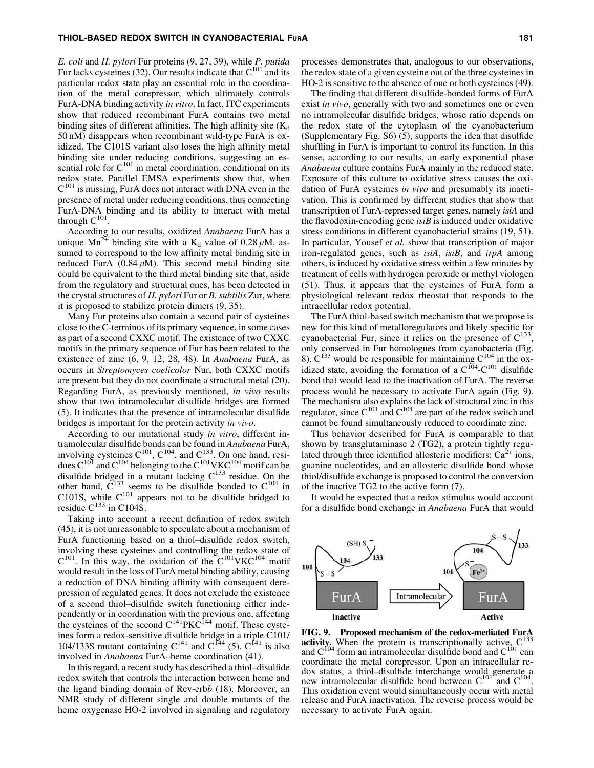#### THIOL-BASED REDOX SWITCH IN CYANOBACTERIAL FURA 181

*E. coli* and *H. pylori* Fur proteins (9, 27, 39), while *P. putida* Fur lacks cysteines (32). Our results indicate that  $C^{101}$  and its particular redox state play an essential role in the coordination of the metal corepressor, which ultimately controls FurA-DNA binding activity *in vitro*. In fact, ITC experiments show that reduced recombinant FurA contains two metal binding sites of different affinities. The high affinity site  $(K_d)$ 50 nM) disappears when recombinant wild-type FurA is oxidized. The C101S variant also loses the high affinity metal binding site under reducing conditions, suggesting an essential role for  $C^{101}$  in metal coordination, conditional on its redox state. Parallel EMSA experiments show that, when  $C^{101}$  is missing, FurA does not interact with DNA even in the presence of metal under reducing conditions, thus connecting FurA-DNA binding and its ability to interact with metal through  $C^{101}$ .

According to our results, oxidized *Anabaena* FurA has a unique  $Mn^{2+}$  binding site with a K<sub>d</sub> value of 0.28  $\mu$ M, assumed to correspond to the low affinity metal binding site in reduced FurA  $(0.84 \mu M)$ . This second metal binding site could be equivalent to the third metal binding site that, aside from the regulatory and structural ones, has been detected in the crystal structures of *H. pylori* Fur or *B. subtilis* Zur, where it is proposed to stabilize protein dimers (9, 35).

Many Fur proteins also contain a second pair of cysteines close to the C-terminus of its primary sequence, in some cases as part of a second CXXC motif. The existence of two CXXC motifs in the primary sequence of Fur has been related to the existence of zinc (6, 9, 12, 28, 48). In *Anabaena* FurA, as occurs in *Streptomyces coelicolor* Nur, both CXXC motifs are present but they do not coordinate a structural metal (20). Regarding FurA, as previously mentioned, *in vivo* results show that two intramolecular disulfide bridges are formed (5). It indicates that the presence of intramolecular disulfide bridges is important for the protein activity *in vivo*.

According to our mutational study *in vitro*, different intramolecular disulfide bonds can be found in *Anabaena* FurA, involving cysteines  $C^{101}$ ,  $C^{104}$ , and  $C^{133}$ . On one hand, residues  $C^{101}$  and  $C^{104}$  belonging to the  $C^{101}$ VKC<sup>104</sup> motif can be disulfide bridged in a mutant lacking  $C^{133}$  residue. On the other hand,  $C^{133}$  seems to be disulfide bonded to  $C^{104}$  in C101S, while  $C^{101}$  appears not to be disulfide bridged to residue  $C^{133}$  in C104S.

Taking into account a recent definition of redox switch (45), it is not unreasonable to speculate about a mechanism of FurA functioning based on a thiol–disulfide redox switch, involving these cysteines and controlling the redox state of  $C^{101}$ . In this way, the oxidation of the  $C^{101}$ VKC<sup>104</sup> motif would result in the loss of FurA metal binding ability, causing a reduction of DNA binding affinity with consequent derepression of regulated genes. It does not exclude the existence of a second thiol–disulfide switch functioning either independently or in coordination with the previous one, affecting the cysteines of the second  $C^{141}PKC^{144}$  motif. These cysteines form a redox-sensitive disulfide bridge in a triple C101/ 104/133S mutant containing  $C^{141}$  and  $C^{144}$  (5).  $C^{141}$  is also involved in *Anabaena* FurA–heme coordination (41).

In this regard, a recent study has described a thiol–disulfide redox switch that controls the interaction between heme and the ligand binding domain of Rev-erb*b* (18). Moreover, an NMR study of different single and double mutants of the heme oxygenase HO-2 involved in signaling and regulatory

processes demonstrates that, analogous to our observations, the redox state of a given cysteine out of the three cysteines in HO-2 is sensitive to the absence of one or both cysteines (49).

The finding that different disulfide-bonded forms of FurA exist *in vivo*, generally with two and sometimes one or even no intramolecular disulfide bridges, whose ratio depends on the redox state of the cytoplasm of the cyanobacterium (Supplementary Fig. S6) (5), supports the idea that disulfide shuffling in FurA is important to control its function. In this sense, according to our results, an early exponential phase *Anabaena* culture contains FurA mainly in the reduced state. Exposure of this culture to oxidative stress causes the oxidation of FurA cysteines *in vivo* and presumably its inactivation. This is confirmed by different studies that show that transcription of FurA-repressed target genes, namely *isiA* and the flavodoxin-encoding gene *isiB* is induced under oxidative stress conditions in different cyanobacterial strains (19, 51). In particular, Yousef *et al.* show that transcription of major iron-regulated genes, such as *isiA*, *isiB*, and *irpA* among others, is induced by oxidative stress within a few minutes by treatment of cells with hydrogen peroxide or methyl viologen (51). Thus, it appears that the cysteines of FurA form a physiological relevant redox rheostat that responds to the intracellular redox potential.

The FurA thiol-based switch mechanism that we propose is new for this kind of metalloregulators and likely specific for cyanobacterial Fur, since it relies on the presence of  $C^{133}$ , only conserved in Fur homologues from cyanobacteria (Fig. 8).  $C^{133}$  would be responsible for maintaining  $C^{104}$  in the oxidized state, avoiding the formation of a  $C^{104}$ - $C^{101}$  disulfide bond that would lead to the inactivation of FurA. The reverse process would be necessary to activate FurA again (Fig. 9). The mechanism also explains the lack of structural zinc in this regulator, since  $C^{101}$  and  $C^{104}$  are part of the redox switch and cannot be found simultaneously reduced to coordinate zinc.

This behavior described for FurA is comparable to that shown by transglutaminase 2 (TG2), a protein tightly regulated through three identified allosteric modifiers:  $Ca^{2+}$  ions, guanine nucleotides, and an allosteric disulfide bond whose thiol/disulfide exchange is proposed to control the conversion of the inactive TG2 to the active form (7).

It would be expected that a redox stimulus would account for a disulfide bond exchange in *Anabaena* FurA that would



FIG. 9. Proposed mechanism of the redox-mediated FurA activity. When the protein is transcriptionally active,  $C^{133}$ and  $C^{104}$  form an intramolecular disulfide bond and  $C^{101}$  can coordinate the metal corepressor. Upon an intracellular redox status, a thiol–disulfide interchange would generate a new intramolecular disulfide bond between  $C^{101}$  and  $C^{104}$ . This oxidation event would simultaneously occur with metal release and FurA inactivation. The reverse process would be necessary to activate FurA again.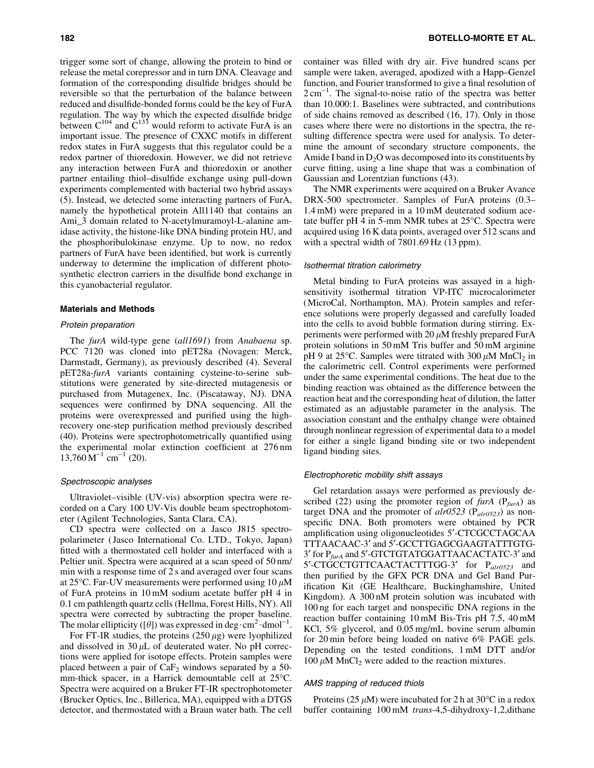trigger some sort of change, allowing the protein to bind or release the metal corepressor and in turn DNA. Cleavage and formation of the corresponding disulfide bridges should be reversible so that the perturbation of the balance between reduced and disulfide-bonded forms could be the key of FurA regulation. The way by which the expected disulfide bridge between  $C^{104}$  and  $C^{133}$  would reform to activate FurA is an important issue. The presence of CXXC motifs in different redox states in FurA suggests that this regulator could be a redox partner of thioredoxin. However, we did not retrieve any interaction between FurA and thioredoxin or another partner entailing thiol–disulfide exchange using pull-down experiments complemented with bacterial two hybrid assays (5). Instead, we detected some interacting partners of FurA, namely the hypothetical protein All1140 that contains an Ami\_3 domain related to N-acetylmuramoyl-L-alanine amidase activity, the histone-like DNA binding protein HU, and the phosphoribulokinase enzyme. Up to now, no redox partners of FurA have been identified, but work is currently underway to determine the implication of different photosynthetic electron carriers in the disulfide bond exchange in this cyanobacterial regulator.

#### Materials and Methods

#### Protein preparation

The *furA* wild-type gene (*all1691*) from *Anabaena* sp. PCC 7120 was cloned into pET28a (Novagen: Merck, Darmstadt, Germany), as previously described (4). Several pET28a-*furA* variants containing cysteine-to-serine substitutions were generated by site-directed mutagenesis or purchased from Mutagenex, Inc. (Piscataway, NJ). DNA sequences were confirmed by DNA sequencing. All the proteins were overexpressed and purified using the highrecovery one-step purification method previously described (40). Proteins were spectrophotometrically quantified using the experimental molar extinction coefficient at 276 nm  $13,760 \,\mathrm{M}^{-1} \text{ cm}^{-1}$  (20).

## Spectroscopic analyses

Ultraviolet–visible (UV-vis) absorption spectra were recorded on a Cary 100 UV-Vis double beam spectrophotometer (Agilent Technologies, Santa Clara, CA).

CD spectra were collected on a Jasco J815 spectropolarimeter ( Jasco International Co. LTD., Tokyo, Japan) fitted with a thermostated cell holder and interfaced with a Peltier unit. Spectra were acquired at a scan speed of 50 nm/ min with a response time of 2 s and averaged over four scans at 25 $\rm{^{\circ}C}$ . Far-UV measurements were performed using 10  $\mu$ M of FurA proteins in 10 mM sodium acetate buffer pH 4 in 0.1 cm pathlength quartz cells (Hellma, Forest Hills, NY). All spectra were corrected by subtracting the proper baseline. The molar ellipticity ([ $\theta$ ]) was expressed in deg  $\cdot$  cm<sup>2</sup> $\cdot$  dmol<sup>-1</sup>.

For FT-IR studies, the proteins  $(250 \,\mu$ g) were lyophilized and dissolved in  $30 \mu L$  of deuterated water. No pH corrections were applied for isotope effects. Protein samples were placed between a pair of  $CaF<sub>2</sub>$  windows separated by a 50mm-thick spacer, in a Harrick demountable cell at 25°C. Spectra were acquired on a Bruker FT-IR spectrophotometer (Brucker Optics, Inc., Billerica, MA), equipped with a DTGS detector, and thermostated with a Braun water bath. The cell container was filled with dry air. Five hundred scans per sample were taken, averaged, apodized with a Happ–Genzel function, and Fourier transformed to give a final resolution of  $2 \text{ cm}^{-1}$ . The signal-to-noise ratio of the spectra was better than 10.000:1. Baselines were subtracted, and contributions of side chains removed as described (16, 17). Only in those cases where there were no distortions in the spectra, the resulting difference spectra were used for analysis. To determine the amount of secondary structure components, the Amide I band in  $D_2O$  was decomposed into its constituents by curve fitting, using a line shape that was a combination of Gaussian and Lorentzian functions (43).

The NMR experiments were acquired on a Bruker Avance DRX-500 spectrometer. Samples of FurA proteins (0.3– 1.4 mM) were prepared in a 10 mM deuterated sodium acetate buffer pH 4 in 5-mm NMR tubes at  $25^{\circ}$ C. Spectra were acquired using 16 K data points, averaged over 512 scans and with a spectral width of 7801.69 Hz (13 ppm).

#### Isothermal titration calorimetry

Metal binding to FurA proteins was assayed in a highsensitivity isothermal titration VP-ITC microcalorimeter (MicroCal, Northampton, MA). Protein samples and reference solutions were properly degassed and carefully loaded into the cells to avoid bubble formation during stirring. Experiments were performed with 20  $\mu$ M freshly prepared FurA protein solutions in 50 mM Tris buffer and 50 mM arginine pH 9 at 25 $^{\circ}$ C. Samples were titrated with 300  $\mu$ M MnCl<sub>2</sub> in the calorimetric cell. Control experiments were performed under the same experimental conditions. The heat due to the binding reaction was obtained as the difference between the reaction heat and the corresponding heat of dilution, the latter estimated as an adjustable parameter in the analysis. The association constant and the enthalpy change were obtained through nonlinear regression of experimental data to a model for either a single ligand binding site or two independent ligand binding sites.

#### Electrophoretic mobility shift assays

Gel retardation assays were performed as previously described (22) using the promoter region of *furA* (P*furA*) as target DNA and the promoter of *alr0523* (P*alr0523*) as nonspecific DNA. Both promoters were obtained by PCR amplification using oligonucleotides 5¢-CTCGCCTAGCAA TTTAACAAC-3' and 5'-GCCTTGAGCGAAGTATTTGTG-3' for P<sub>furA</sub> and 5'-GTCTGTATGGATTAACACTATC-3' and 5'-CTGCCTGTTCAACTACTTTGG-3' for P<sub>alr0523</sub> and then purified by the GFX PCR DNA and Gel Band Purification Kit (GE Healthcare, Buckinghamshire, United Kingdom). A 300 nM protein solution was incubated with 100 ng for each target and nonspecific DNA regions in the reaction buffer containing 10 mM Bis-Tris pH 7.5, 40 mM KCl, 5% glycerol, and 0.05 mg/mL bovine serum albumin for 20 min before being loaded on native 6% PAGE gels. Depending on the tested conditions, 1 mM DTT and/or  $100 \mu M$  MnCl<sub>2</sub> were added to the reaction mixtures.

## AMS trapping of reduced thiols

Proteins (25  $\mu$ M) were incubated for 2 h at 30°C in a redox buffer containing 100 mM *trans*-4,5-dihydroxy-1,2,dithane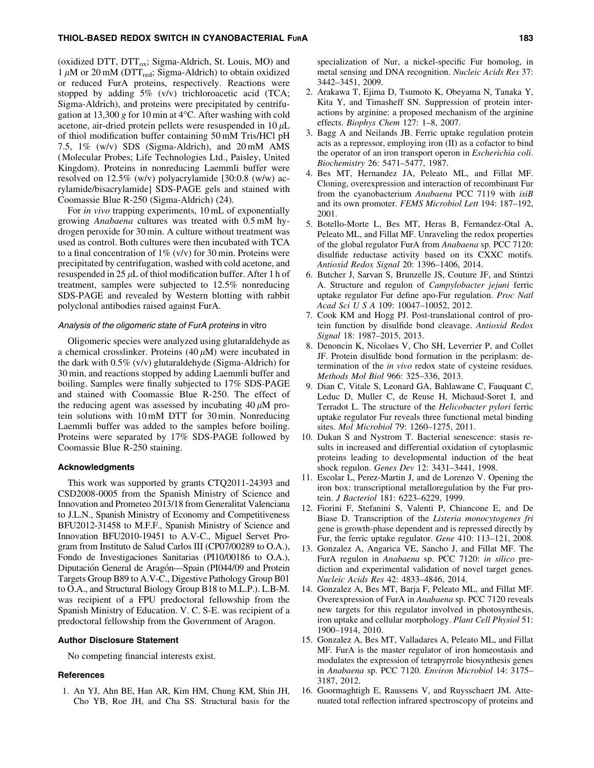#### THIOL-BASED REDOX SWITCH IN CYANOBACTERIAL FURA 1933 183

(oxidized DTT,  $DTT_{ox}$ ; Sigma-Aldrich, St. Louis, MO) and 1  $\mu$ M or 20 mM (DTT<sub>red</sub>; Sigma-Aldrich) to obtain oxidized or reduced FurA proteins, respectively. Reactions were stopped by adding 5% (v/v) trichloroacetic acid (TCA; Sigma-Aldrich), and proteins were precipitated by centrifugation at  $13,300$  g for  $10$  min at  $4^{\circ}$ C. After washing with cold acetone, air-dried protein pellets were resuspended in  $10 \mu L$ of thiol modification buffer containing 50 mM Tris/HCl pH 7.5, 1% (w/v) SDS (Sigma-Aldrich), and 20 mM AMS (Molecular Probes; Life Technologies Ltd., Paisley, United Kingdom). Proteins in nonreducing Laemmli buffer were resolved on 12.5% (w/v) polyacrylamide [30:0.8 (w/w) acrylamide/bisacrylamide] SDS-PAGE gels and stained with Coomassie Blue R-250 (Sigma-Aldrich) (24).

For *in vivo* trapping experiments, 10 mL of exponentially growing *Anabaena* cultures was treated with 0.5 mM hydrogen peroxide for 30 min. A culture without treatment was used as control. Both cultures were then incubated with TCA to a final concentration of  $1\%$  (v/v) for 30 min. Proteins were precipitated by centrifugation, washed with cold acetone, and resuspended in 25  $\mu$ L of thiol modification buffer. After 1 h of treatment, samples were subjected to 12.5% nonreducing SDS-PAGE and revealed by Western blotting with rabbit polyclonal antibodies raised against FurA.

## Analysis of the oligomeric state of FurA proteins in vitro

Oligomeric species were analyzed using glutaraldehyde as a chemical crosslinker. Proteins  $(40 \mu M)$  were incubated in the dark with 0.5% (v/v) glutaraldehyde (Sigma-Aldrich) for 30 min, and reactions stopped by adding Laemmli buffer and boiling. Samples were finally subjected to 17% SDS-PAGE and stained with Coomassie Blue R-250. The effect of the reducing agent was assessed by incubating  $40 \mu M$  protein solutions with 10 mM DTT for 30 min. Nonreducing Laemmli buffer was added to the samples before boiling. Proteins were separated by 17% SDS-PAGE followed by Coomassie Blue R-250 staining.

#### Acknowledgments

This work was supported by grants CTQ2011-24393 and CSD2008-0005 from the Spanish Ministry of Science and Innovation and Prometeo 2013/18 from Generalitat Valenciana to J.L.N., Spanish Ministry of Economy and Competitiveness BFU2012-31458 to M.F.F., Spanish Ministry of Science and Innovation BFU2010-19451 to A.V-C., Miguel Servet Program from Instituto de Salud Carlos III (CP07/00289 to O.A.), Fondo de Investigaciones Sanitarias (PI10/00186 to O.A.), Diputación General de Aragón—Spain (PI044/09 and Protein Targets Group B89 to A.V-C., Digestive Pathology Group B01 to O.A., and Structural Biology Group B18 to M.L.P.). L.B-M. was recipient of a FPU predoctoral fellowship from the Spanish Ministry of Education. V. C. S-E. was recipient of a predoctoral fellowship from the Government of Aragon.

#### Author Disclosure Statement

No competing financial interests exist.

#### **References**

1. An YJ, Ahn BE, Han AR, Kim HM, Chung KM, Shin JH, Cho YB, Roe JH, and Cha SS. Structural basis for the specialization of Nur, a nickel-specific Fur homolog, in metal sensing and DNA recognition. *Nucleic Acids Res* 37: 3442–3451, 2009.

- 2. Arakawa T, Ejima D, Tsumoto K, Obeyama N, Tanaka Y, Kita Y, and Timasheff SN. Suppression of protein interactions by arginine: a proposed mechanism of the arginine effects. *Biophys Chem* 127: 1–8, 2007.
- 3. Bagg A and Neilands JB. Ferric uptake regulation protein acts as a repressor, employing iron (II) as a cofactor to bind the operator of an iron transport operon in *Escherichia coli*. *Biochemistry* 26: 5471–5477, 1987.
- 4. Bes MT, Hernandez JA, Peleato ML, and Fillat MF. Cloning, overexpression and interaction of recombinant Fur from the cyanobacterium *Anabaena* PCC 7119 with *isiB* and its own promoter. *FEMS Microbiol Lett* 194: 187–192, 2001.
- 5. Botello-Morte L, Bes MT, Heras B, Fernandez-Otal A, Peleato ML, and Fillat MF. Unraveling the redox properties of the global regulator FurA from *Anabaena* sp. PCC 7120: disulfide reductase activity based on its CXXC motifs. *Antioxid Redox Signal* 20: 1396–1406, 2014.
- 6. Butcher J, Sarvan S, Brunzelle JS, Couture JF, and Stintzi A. Structure and regulon of *Campylobacter jejuni* ferric uptake regulator Fur define apo-Fur regulation. *Proc Natl Acad Sci U S A* 109: 10047–10052, 2012.
- 7. Cook KM and Hogg PJ. Post-translational control of protein function by disulfide bond cleavage. *Antioxid Redox Signal* 18: 1987–2015, 2013.
- 8. Denoncin K, Nicolaes V, Cho SH, Leverrier P, and Collet JF. Protein disulfide bond formation in the periplasm: determination of the *in vivo* redox state of cysteine residues. *Methods Mol Biol* 966: 325–336, 2013.
- 9. Dian C, Vitale S, Leonard GA, Bahlawane C, Fauquant C, Leduc D, Muller C, de Reuse H, Michaud-Soret I, and Terradot L. The structure of the *Helicobacter pylori* ferric uptake regulator Fur reveals three functional metal binding sites. *Mol Microbiol* 79: 1260–1275, 2011.
- 10. Dukan S and Nystrom T. Bacterial senescence: stasis results in increased and differential oxidation of cytoplasmic proteins leading to developmental induction of the heat shock regulon. *Genes Dev* 12: 3431–3441, 1998.
- 11. Escolar L, Perez-Martin J, and de Lorenzo V. Opening the iron box: transcriptional metalloregulation by the Fur protein. *J Bacteriol* 181: 6223–6229, 1999.
- 12. Fiorini F, Stefanini S, Valenti P, Chiancone E, and De Biase D. Transcription of the *Listeria monocytogenes fri* gene is growth-phase dependent and is repressed directly by Fur, the ferric uptake regulator. *Gene* 410: 113–121, 2008.
- 13. Gonzalez A, Angarica VE, Sancho J, and Fillat MF. The FurA regulon in *Anabaena* sp. PCC 7120: *in silico* prediction and experimental validation of novel target genes. *Nucleic Acids Res* 42: 4833–4846, 2014.
- 14. Gonzalez A, Bes MT, Barja F, Peleato ML, and Fillat MF. Overexpression of FurA in *Anabaena* sp. PCC 7120 reveals new targets for this regulator involved in photosynthesis, iron uptake and cellular morphology. *Plant Cell Physiol* 51: 1900–1914, 2010.
- 15. Gonzalez A, Bes MT, Valladares A, Peleato ML, and Fillat MF. FurA is the master regulator of iron homeostasis and modulates the expression of tetrapyrrole biosynthesis genes in *Anabaena* sp. PCC 7120. *Environ Microbiol* 14: 3175– 3187, 2012.
- 16. Goormaghtigh E, Raussens V, and Ruysschaert JM. Attenuated total reflection infrared spectroscopy of proteins and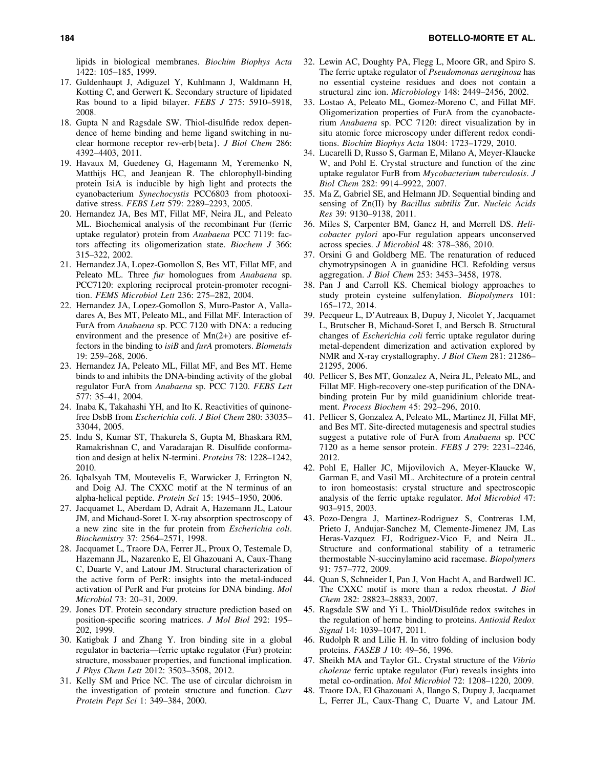lipids in biological membranes. *Biochim Biophys Acta* 1422: 105–185, 1999.

- 17. Guldenhaupt J, Adiguzel Y, Kuhlmann J, Waldmann H, Kotting C, and Gerwert K. Secondary structure of lipidated Ras bound to a lipid bilayer. *FEBS J* 275: 5910–5918, 2008.
- 18. Gupta N and Ragsdale SW. Thiol-disulfide redox dependence of heme binding and heme ligand switching in nuclear hormone receptor rev-erb{beta}. *J Biol Chem* 286: 4392–4403, 2011.
- 19. Havaux M, Guedeney G, Hagemann M, Yeremenko N, Matthijs HC, and Jeanjean R. The chlorophyll-binding protein IsiA is inducible by high light and protects the cyanobacterium *Synechocystis* PCC6803 from photooxidative stress. *FEBS Lett* 579: 2289–2293, 2005.
- 20. Hernandez JA, Bes MT, Fillat MF, Neira JL, and Peleato ML. Biochemical analysis of the recombinant Fur (ferric uptake regulator) protein from *Anabaena* PCC 7119: factors affecting its oligomerization state. *Biochem J* 366: 315–322, 2002.
- 21. Hernandez JA, Lopez-Gomollon S, Bes MT, Fillat MF, and Peleato ML. Three *fur* homologues from *Anabaena* sp. PCC7120: exploring reciprocal protein-promoter recognition. *FEMS Microbiol Lett* 236: 275–282, 2004.
- 22. Hernandez JA, Lopez-Gomollon S, Muro-Pastor A, Valladares A, Bes MT, Peleato ML, and Fillat MF. Interaction of FurA from *Anabaena* sp. PCC 7120 with DNA: a reducing environment and the presence of Mn(2+) are positive effectors in the binding to *isiB* and *furA* promoters. *Biometals* 19: 259–268, 2006.
- 23. Hernandez JA, Peleato ML, Fillat MF, and Bes MT. Heme binds to and inhibits the DNA-binding activity of the global regulator FurA from *Anabaena* sp. PCC 7120. *FEBS Lett* 577: 35–41, 2004.
- 24. Inaba K, Takahashi YH, and Ito K. Reactivities of quinonefree DsbB from *Escherichia coli*. *J Biol Chem* 280: 33035– 33044, 2005.
- 25. Indu S, Kumar ST, Thakurela S, Gupta M, Bhaskara RM, Ramakrishnan C, and Varadarajan R. Disulfide conformation and design at helix N-termini. *Proteins* 78: 1228–1242, 2010.
- 26. Iqbalsyah TM, Moutevelis E, Warwicker J, Errington N, and Doig AJ. The CXXC motif at the N terminus of an alpha-helical peptide. *Protein Sci* 15: 1945–1950, 2006.
- 27. Jacquamet L, Aberdam D, Adrait A, Hazemann JL, Latour JM, and Michaud-Soret I. X-ray absorption spectroscopy of a new zinc site in the fur protein from *Escherichia coli*. *Biochemistry* 37: 2564–2571, 1998.
- 28. Jacquamet L, Traore DA, Ferrer JL, Proux O, Testemale D, Hazemann JL, Nazarenko E, El Ghazouani A, Caux-Thang C, Duarte V, and Latour JM. Structural characterization of the active form of PerR: insights into the metal-induced activation of PerR and Fur proteins for DNA binding. *Mol Microbiol* 73: 20–31, 2009.
- 29. Jones DT. Protein secondary structure prediction based on position-specific scoring matrices. *J Mol Biol* 292: 195– 202, 1999.
- 30. Katigbak J and Zhang Y. Iron binding site in a global regulator in bacteria—ferric uptake regulator (Fur) protein: structure, mossbauer properties, and functional implication. *J Phys Chem Lett* 2012: 3503–3508, 2012.
- 31. Kelly SM and Price NC. The use of circular dichroism in the investigation of protein structure and function. *Curr Protein Pept Sci* 1: 349–384, 2000.
- 32. Lewin AC, Doughty PA, Flegg L, Moore GR, and Spiro S. The ferric uptake regulator of *Pseudomonas aeruginosa* has no essential cysteine residues and does not contain a structural zinc ion. *Microbiology* 148: 2449–2456, 2002.
- 33. Lostao A, Peleato ML, Gomez-Moreno C, and Fillat MF. Oligomerization properties of FurA from the cyanobacterium *Anabaena* sp. PCC 7120: direct visualization by in situ atomic force microscopy under different redox conditions. *Biochim Biophys Acta* 1804: 1723–1729, 2010.
- 34. Lucarelli D, Russo S, Garman E, Milano A, Meyer-Klaucke W, and Pohl E. Crystal structure and function of the zinc uptake regulator FurB from *Mycobacterium tuberculosis*. *J Biol Chem* 282: 9914–9922, 2007.
- 35. Ma Z, Gabriel SE, and Helmann JD. Sequential binding and sensing of Zn(II) by *Bacillus subtilis* Zur. *Nucleic Acids Res* 39: 9130–9138, 2011.
- 36. Miles S, Carpenter BM, Gancz H, and Merrell DS. *Helicobacter pylori* apo-Fur regulation appears unconserved across species. *J Microbiol* 48: 378–386, 2010.
- 37. Orsini G and Goldberg ME. The renaturation of reduced chymotrypsinogen A in guanidine HCl. Refolding versus aggregation. *J Biol Chem* 253: 3453–3458, 1978.
- 38. Pan J and Carroll KS. Chemical biology approaches to study protein cysteine sulfenylation. *Biopolymers* 101: 165–172, 2014.
- 39. Pecqueur L, D'Autreaux B, Dupuy J, Nicolet Y, Jacquamet L, Brutscher B, Michaud-Soret I, and Bersch B. Structural changes of *Escherichia coli* ferric uptake regulator during metal-dependent dimerization and activation explored by NMR and X-ray crystallography. *J Biol Chem* 281: 21286– 21295, 2006.
- 40. Pellicer S, Bes MT, Gonzalez A, Neira JL, Peleato ML, and Fillat MF. High-recovery one-step purification of the DNAbinding protein Fur by mild guanidinium chloride treatment. *Process Biochem* 45: 292–296, 2010.
- 41. Pellicer S, Gonzalez A, Peleato ML, Martinez JI, Fillat MF, and Bes MT. Site-directed mutagenesis and spectral studies suggest a putative role of FurA from *Anabaena* sp. PCC 7120 as a heme sensor protein. *FEBS J* 279: 2231–2246, 2012.
- 42. Pohl E, Haller JC, Mijovilovich A, Meyer-Klaucke W, Garman E, and Vasil ML. Architecture of a protein central to iron homeostasis: crystal structure and spectroscopic analysis of the ferric uptake regulator. *Mol Microbiol* 47: 903–915, 2003.
- 43. Pozo-Dengra J, Martinez-Rodriguez S, Contreras LM, Prieto J, Andujar-Sanchez M, Clemente-Jimenez JM, Las Heras-Vazquez FJ, Rodriguez-Vico F, and Neira JL. Structure and conformational stability of a tetrameric thermostable N-succinylamino acid racemase. *Biopolymers* 91: 757–772, 2009.
- 44. Quan S, Schneider I, Pan J, Von Hacht A, and Bardwell JC. The CXXC motif is more than a redox rheostat. *J Biol Chem* 282: 28823–28833, 2007.
- 45. Ragsdale SW and Yi L. Thiol/Disulfide redox switches in the regulation of heme binding to proteins. *Antioxid Redox Signal* 14: 1039–1047, 2011.
- 46. Rudolph R and Lilie H. In vitro folding of inclusion body proteins. *FASEB J* 10: 49–56, 1996.
- 47. Sheikh MA and Taylor GL. Crystal structure of the *Vibrio cholerae* ferric uptake regulator (Fur) reveals insights into metal co-ordination. *Mol Microbiol* 72: 1208–1220, 2009.
- 48. Traore DA, El Ghazouani A, Ilango S, Dupuy J, Jacquamet L, Ferrer JL, Caux-Thang C, Duarte V, and Latour JM.